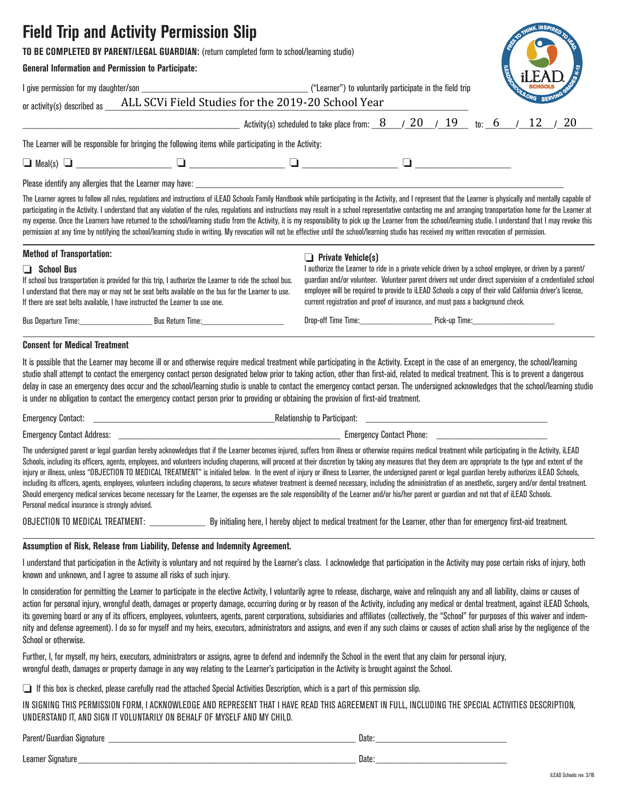# **Field Trip and Activity Permission Slip**

# **TO BE COMPLETED BY PARENT/LEGAL GUARDIAN:** (return completed form to school/learning studio)

I give permission for my daughter/son \_\_\_\_\_\_\_\_\_\_\_\_\_\_\_\_\_\_\_\_\_\_\_\_\_\_\_\_\_\_\_\_\_ ("Learner") to voluntarily participate in the field trip

### **General Information and Permission to Participate:**

|                                     | RESIDENTIAL INSPIRED TO THE |           |
|-------------------------------------|-----------------------------|-----------|
| <b>CONSTRUCTION OF CONSTRUCTION</b> | EΔ<br>SCHOOLS               | SERVING A |

| or activity(s) described as |                                                                                                       | ALL SCVI Field Studies for the 2019-20 School Year                                                                                                                                                                |  | ORG SERVING |  |
|-----------------------------|-------------------------------------------------------------------------------------------------------|-------------------------------------------------------------------------------------------------------------------------------------------------------------------------------------------------------------------|--|-------------|--|
|                             |                                                                                                       | Activity(s) scheduled to take place from: $\frac{8}{20}$ / $\frac{20}{19}$ to: 6 / 12 / 20                                                                                                                        |  |             |  |
|                             | The Learner will be responsible for bringing the following items while participating in the Activity: |                                                                                                                                                                                                                   |  |             |  |
| $\Box$ Meal(s) $\Box$       |                                                                                                       |                                                                                                                                                                                                                   |  |             |  |
|                             | Please identify any allergies that the Learner may have:                                              |                                                                                                                                                                                                                   |  |             |  |
|                             |                                                                                                       | The Learner agrees to follow all rules, requistions and instructions of il FAD Schools Family Handhook while participation in the Activity, and Learnesent that the Learner is physically and mentally canable of |  |             |  |

Tollow all rules, regulations and instructions of iLEAD Schools Family Handbook while participating in the Activity, and I represent that the Learner is physi participating in the Activity. I understand that any violation of the rules, regulations and instructions may result in a school representative contacting me and arranging transportation home for the Learner at my expense. Once the Learners have returned to the school/learning studio from the Activity, it is my responsibility to pick up the Learner from the school/learning studio. I understand that I may revoke this permission at any time by notifying the school/learning studio in writing. My revocation will not be effective until the school/learning studio has received my written revocation of permission.

| <b>Method of Transportation:</b>                                                                  |                                                                                                                                                                                                              | $\Box$ Private Vehicle(s)                                                      |                                                                                                                                                                                                                                                                                                                                   |
|---------------------------------------------------------------------------------------------------|--------------------------------------------------------------------------------------------------------------------------------------------------------------------------------------------------------------|--------------------------------------------------------------------------------|-----------------------------------------------------------------------------------------------------------------------------------------------------------------------------------------------------------------------------------------------------------------------------------------------------------------------------------|
| $\Box$ School Bus<br>If there are seat belts available, I have instructed the Learner to use one. | If school bus transportation is provided for this trip, I authorize the Learner to ride the school bus.<br>I understand that there may or may not be seat belts available on the bus for the Learner to use. | current registration and proof of insurance, and must pass a background check. | I authorize the Learner to ride in a private vehicle driven by a school employee, or driven by a parent/<br>guardian and/or volunteer. Volunteer parent drivers not under direct supervision of a credentialed school<br>employee will be required to provide to iLEAD Schools a copy of their valid California driver's license, |
| Bus Departure Time:                                                                               | Bus Return Time:                                                                                                                                                                                             | Drop-off Time Time:                                                            | Pick-up Time:                                                                                                                                                                                                                                                                                                                     |
|                                                                                                   |                                                                                                                                                                                                              |                                                                                |                                                                                                                                                                                                                                                                                                                                   |

### **Consent for Medical Treatment**

It is possible that the Learner may become ill or and otherwise require medical treatment while participating in the Activity. Except in the case of an emergency, the school/learning studio shall attempt to contact the emergency contact person designated below prior to taking action, other than first-aid, related to medical treatment. This is to prevent a dangerous delay in case an emergency does occur and the school/learning studio is unable to contact the emergency contact person. The undersigned acknowledges that the school/learning studio is under no obligation to contact the emergency contact person prior to providing or obtaining the provision of first-aid treatment.

| -<br>Contact:<br>Emergency | Relationship tr<br>- Participant. |  |
|----------------------------|-----------------------------------|--|
| <b>Contact Address</b>     | Contact Phone:                    |  |
| Emergency                  | Emergency                         |  |

The undersigned parent or legal guardian hereby acknowledges that if the Learner becomes injured, suffers from illness or otherwise requires medical treatment while participating in the Activity, iLEAD Schools, including its officers, agents, employees, and volunteers including chaperons, will proceed at their discretion by taking any measures that they deem are appropriate to the type and extent of the injury or illness, unless "OBJECTION TO MEDICAL TREATMENT" is initialed below. In the event of injury or illness to Learner, the undersigned parent or legal guardian hereby authorizes iLEAD Schools, including its officers, agents, employees, volunteers including chaperons, to secure whatever treatment is deemed necessary, including the administration of an anesthetic, surgery and/or dental treatment. Should emergency medical services become necessary for the Learner, the expenses are the sole responsibility of the Learner and/or his/her parent or quardian and not that of iLEAD Schools. Personal medical insurance is strongly advised.

OBJECTION TO MEDICAL TREATMENT: By initialing here, I hereby object to medical treatment for the Learner, other than for emergency first-aid treatment.

### **Assumption of Risk, Release from Liability, Defense and Indemnity Agreement.**

I understand that participation in the Activity is voluntary and not required by the Learner's class. I acknowledge that participation in the Activity may pose certain risks of injury, both known and unknown, and I agree to assume all risks of such injury.

In consideration for permitting the Learner to participate in the elective Activity, I voluntarily agree to release, discharge, waive and relinguish any and all liability, claims or causes of action for personal injury, wrongful death, damages or property damage, occurring during or by reason of the Activity, including any medical or dental treatment, against iLEAD Schools, its governing board or any of its officers, employees, volunteers, agents, parent corporations, subsidiaries and affiliates (collectively, the "School" for purposes of this waiver and indemnity and defense agreement). I do so for myself and my heirs, executors, administrators and assigns, and even if any such claims or causes of action shall arise by the negligence of the School or otherwise.

Further, I, for myself, my heirs, executors, administrators or assigns, agree to defend and indemnify the School in the event that any claim for personal injury, wrongful death, damages or property damage in any way relating to the Learner's participation in the Activity is brought against the School.

❏ If this box is checked, please carefully read the attached Special Activities Description, which is a part of this permission slip.

IN SIGNING THIS PERMISSION FORM, I ACKNOWLEDGE AND REPRESENT THAT I HAVE READ THIS AGREEMENT IN FULL, INCLUDING THE SPECIAL ACTIVITIES DESCRIPTION, UNDERSTAND IT, AND SIGN IT VOLUNTARILY ON BEHALF OF MYSELF AND MY CHILD.

| Parent/Guardian Signature | Date: |
|---------------------------|-------|
| Learner Signature         | Date: |